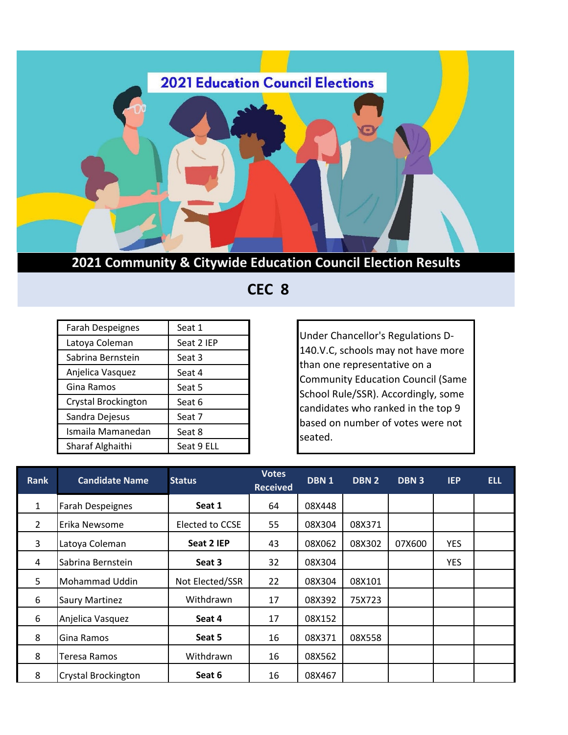

 **CEC 8**

| <b>Farah Despeignes</b>    | Seat 1     |  |  |
|----------------------------|------------|--|--|
| Latoya Coleman             | Seat 2 IEP |  |  |
| Sabrina Bernstein          | Seat 3     |  |  |
| Anjelica Vasquez           | Seat 4     |  |  |
| Gina Ramos                 | Seat 5     |  |  |
| <b>Crystal Brockington</b> | Seat 6     |  |  |
| Sandra Dejesus             | Seat 7     |  |  |
| Ismaila Mamanedan          | Seat 8     |  |  |
| Sharaf Alghaithi           | Seat 9 ELL |  |  |

Under Chancellor's Regulations D-140.V.C, schools may not have more than one representative on a Community Education Council (Same School Rule/SSR). Accordingly, some candidates who ranked in the top 9 based on number of votes were not seated.

| <b>Rank</b>    | <b>Candidate Name</b>      | <b>Status</b>   | <b>Votes</b><br><b>Received</b> | DBN <sub>1</sub> | DBN 2  | DBN <sub>3</sub> | <b>IEP</b> | <b>ELL</b> |
|----------------|----------------------------|-----------------|---------------------------------|------------------|--------|------------------|------------|------------|
| $\mathbf{1}$   | <b>Farah Despeignes</b>    | Seat 1          | 64                              | 08X448           |        |                  |            |            |
| $\overline{2}$ | Erika Newsome              | Elected to CCSE | 55                              | 08X304           | 08X371 |                  |            |            |
| 3              | Latoya Coleman             | Seat 2 IEP      | 43                              | 08X062           | 08X302 | 07X600           | <b>YES</b> |            |
| 4              | Sabrina Bernstein          | Seat 3          | 32                              | 08X304           |        |                  | <b>YES</b> |            |
| 5              | Mohammad Uddin             | Not Elected/SSR | 22                              | 08X304           | 08X101 |                  |            |            |
| 6              | <b>Saury Martinez</b>      | Withdrawn       | 17                              | 08X392           | 75X723 |                  |            |            |
| 6              | Anjelica Vasquez           | Seat 4          | 17                              | 08X152           |        |                  |            |            |
| 8              | Gina Ramos                 | Seat 5          | 16                              | 08X371           | 08X558 |                  |            |            |
| 8              | Teresa Ramos               | Withdrawn       | 16                              | 08X562           |        |                  |            |            |
| 8              | <b>Crystal Brockington</b> | Seat 6          | 16                              | 08X467           |        |                  |            |            |